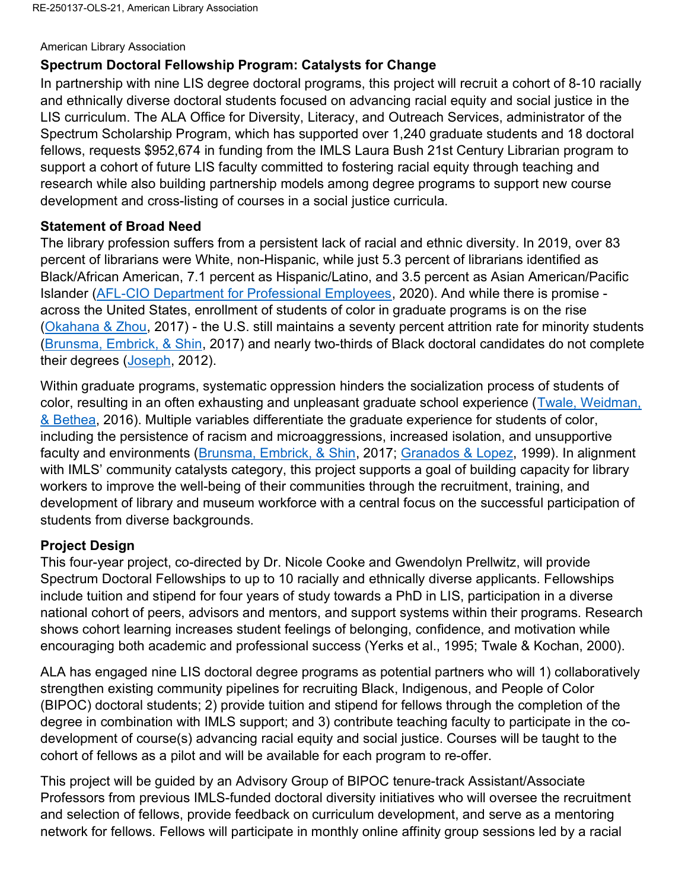#### American Library Association

# Spectrum Doctoral Fellowship Program: Catalysts for Change

In partnership with nine LIS degree doctoral programs, this project will recruit a cohort of 8-10 racially and ethnically diverse doctoral students focused on advancing racial equity and social justice in the LIS curriculum. The ALA Office for Diversity, Literacy, and Outreach Services, administrator of the Spectrum Scholarship Program, which has supported over 1,240 graduate students and 18 doctoral fellows, requests \$952,674 in funding from the IMLS Laura Bush 21st Century Librarian program to support a cohort of future LIS faculty committed to fostering racial equity through teaching and research while also building partnership models among degree programs to support new course development and cross-listing of courses in a social justice curricula.

### Statement of Broad Need

The library profession suffers from a persistent lack of racial and ethnic diversity. In 2019, over 83 percent of librarians were White, non-Hispanic, while just 5.3 percent of librarians identified as Black/African American, 7.1 percent as Hispanic/Latino, and 3.5 percent as Asian American/Pacific Islander (AFL-CIO Department for Professional Employees, 2020). And while there is promise across the United States, enrollment of students of color in graduate programs is on the rise (Okahana & Zhou, 2017) - the U.S. still maintains a seventy percent attrition rate for minority students (Brunsma, Embrick, & Shin, 2017) and nearly two-thirds of Black doctoral candidates do not complete their degrees (Joseph, 2012).

Within graduate programs, systematic oppression hinders the socialization process of students of color, resulting in an often exhausting and unpleasant graduate school experience (Twale, Weidman, & Bethea, 2016). Multiple variables differentiate the graduate experience for students of color, including the persistence of racism and microaggressions, increased isolation, and unsupportive faculty and environments (Brunsma, Embrick, & Shin, 2017; Granados & Lopez, 1999). In alignment with IMLS' community catalysts category, this project supports a goal of building capacity for library workers to improve the well-being of their communities through the recruitment, training, and development of library and museum workforce with a central focus on the successful participation of students from diverse backgrounds.

# Project Design

This four-year project, co-directed by Dr. Nicole Cooke and Gwendolyn Prellwitz, will provide Spectrum Doctoral Fellowships to up to 10 racially and ethnically diverse applicants. Fellowships include tuition and stipend for four years of study towards a PhD in LIS, participation in a diverse national cohort of peers, advisors and mentors, and support systems within their programs. Research shows cohort learning increases student feelings of belonging, confidence, and motivation while encouraging both academic and professional success (Yerks et al., 1995; Twale & Kochan, 2000).

ALA has engaged nine LIS doctoral degree programs as potential partners who will 1) collaboratively strengthen existing community pipelines for recruiting Black, Indigenous, and People of Color (BIPOC) doctoral students; 2) provide tuition and stipend for fellows through the completion of the degree in combination with IMLS support; and 3) contribute teaching faculty to participate in the codevelopment of course(s) advancing racial equity and social justice. Courses will be taught to the cohort of fellows as a pilot and will be available for each program to re-offer.

This project will be guided by an Advisory Group of BIPOC tenure-track Assistant/Associate Professors from previous IMLS-funded doctoral diversity initiatives who will oversee the recruitment and selection of fellows, provide feedback on curriculum development, and serve as a mentoring network for fellows. Fellows will participate in monthly online affinity group sessions led by a racial